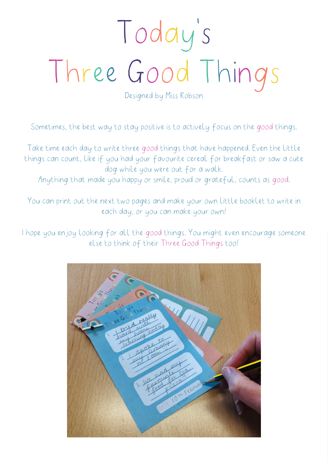## Today 's Three Good Things

Designed by Miss Robson

Sometimes, the best way to stay positive is to actively focus on the good things.

Take time each day to write three good things that have happened. Even the little things can count, like if you had your favourite cereal for breakfast or saw a cute dog while you were out for a walk.

Anything that made you happy or smile, proud or grateful, counts as good.

You can print out the next two pages and make your own little booklet to write in each day, or you can make your own!

I hope you enjoy looking for all the good things. You might even encourage someone else to think of their Three Good Things too!

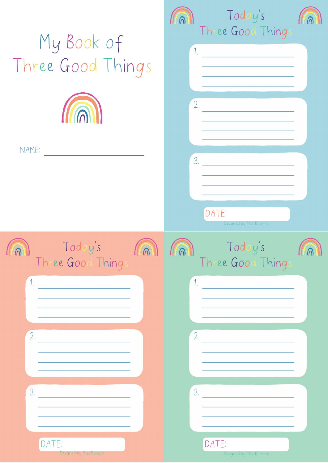| My Book of<br>Three Good Things<br><b>III</b> n<br>NAME:                                                         | Today's<br>Three Good Thing.<br>1.<br>2.<br>3.<br>DATE:<br>Designed by Miss Robson                                                           |
|------------------------------------------------------------------------------------------------------------------|----------------------------------------------------------------------------------------------------------------------------------------------|
| Today's<br><b>HUINNIE</b><br>Three Good Thing.<br>1 <sup>1</sup><br>2.<br>3.<br>DATE:<br>Designed by Miss Robson | Today's<br><b>THIMMILE THIMMILE</b><br><b>THEIMEN</b><br>Three Good Things<br>1 <sup>1</sup><br>2.<br>3.<br>DATE:<br>Designed by Miss Robson |